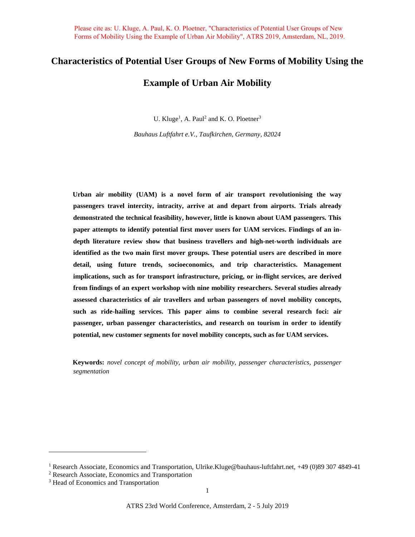# **Characteristics of Potential User Groups of New Forms of Mobility Using the**

# **Example of Urban Air Mobility**

U. Kluge<sup>1</sup>, A. Paul<sup>2</sup> and K. O. Ploetner<sup>3</sup>

*Bauhaus Luftfahrt e.V., Taufkirchen, Germany, 82024*

**Urban air mobility (UAM) is a novel form of air transport revolutionising the way passengers travel intercity, intracity, arrive at and depart from airports. Trials already demonstrated the technical feasibility, however, little is known about UAM passengers. This paper attempts to identify potential first mover users for UAM services. Findings of an indepth literature review show that business travellers and high-net-worth individuals are identified as the two main first mover groups. These potential users are described in more detail, using future trends, socioeconomics, and trip characteristics. Management implications, such as for transport infrastructure, pricing, or in-flight services, are derived from findings of an expert workshop with nine mobility researchers. Several studies already assessed characteristics of air travellers and urban passengers of novel mobility concepts, such as ride-hailing services. This paper aims to combine several research foci: air passenger, urban passenger characteristics, and research on tourism in order to identify potential, new customer segments for novel mobility concepts, such as for UAM services.**

**Keywords:** *novel concept of mobility, urban air mobility, passenger characteristics, passenger segmentation*

<sup>1</sup> Research Associate, Economics and Transportation, Ulrike.Kluge@bauhaus-luftfahrt.net, +49 (0)89 307 4849-41

<sup>2</sup> Research Associate, Economics and Transportation

<sup>3</sup> Head of Economics and Transportation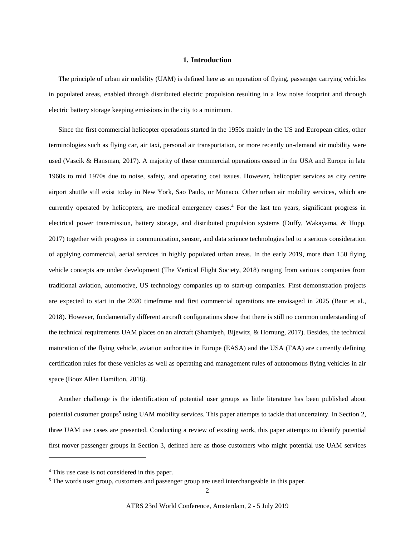#### **1. Introduction**

The principle of urban air mobility (UAM) is defined here as an operation of flying, passenger carrying vehicles in populated areas, enabled through distributed electric propulsion resulting in a low noise footprint and through electric battery storage keeping emissions in the city to a minimum.

Since the first commercial helicopter operations started in the 1950s mainly in the US and European cities, other terminologies such as flying car, air taxi, personal air transportation, or more recently on-demand air mobility were used (Vascik & Hansman, 2017). A majority of these commercial operations ceased in the USA and Europe in late 1960s to mid 1970s due to noise, safety, and operating cost issues. However, helicopter services as city centre airport shuttle still exist today in New York, Sao Paulo, or Monaco. Other urban air mobility services, which are currently operated by helicopters, are medical emergency cases.<sup>4</sup> For the last ten years, significant progress in electrical power transmission, battery storage, and distributed propulsion systems (Duffy, Wakayama, & Hupp, 2017) together with progress in communication, sensor, and data science technologies led to a serious consideration of applying commercial, aerial services in highly populated urban areas. In the early 2019, more than 150 flying vehicle concepts are under development (The Vertical Flight Society, 2018) ranging from various companies from traditional aviation, automotive, US technology companies up to start-up companies. First demonstration projects are expected to start in the 2020 timeframe and first commercial operations are envisaged in 2025 (Baur et al., 2018). However, fundamentally different aircraft configurations show that there is still no common understanding of the technical requirements UAM places on an aircraft (Shamiyeh, Bijewitz, & Hornung, 2017). Besides, the technical maturation of the flying vehicle, aviation authorities in Europe (EASA) and the USA (FAA) are currently defining certification rules for these vehicles as well as operating and management rules of autonomous flying vehicles in air space (Booz Allen Hamilton, 2018).

Another challenge is the identification of potential user groups as little literature has been published about potential customer groups<sup>5</sup> using UAM mobility services. This paper attempts to tackle that uncertainty. In Section 2, three UAM use cases are presented. Conducting a review of existing work, this paper attempts to identify potential first mover passenger groups in Section 3, defined here as those customers who might potential use UAM services

 $\overline{a}$ 

<sup>4</sup> This use case is not considered in this paper.

<sup>&</sup>lt;sup>5</sup> The words user group, customers and passenger group are used interchangeable in this paper.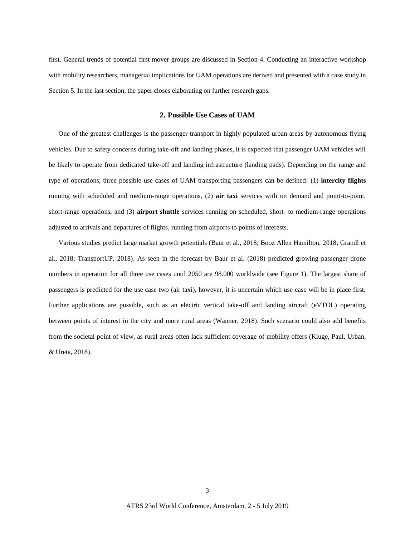first. General trends of potential first mover groups are discussed in Section 4. Conducting an interactive workshop with mobility researchers, managerial implications for UAM operations are derived and presented with a case study in Section 5. In the last section, the paper closes elaborating on further research gaps.

#### **2. Possible Use Cases of UAM**

One of the greatest challenges is the passenger transport in highly populated urban areas by autonomous flying vehicles. Due to safety concerns during take-off and landing phases, it is expected that passenger UAM vehicles will be likely to operate from dedicated take-off and landing infrastructure (landing pads). Depending on the range and type of operations, three possible use cases of UAM transporting passengers can be defined: (1) **intercity flights** running with scheduled and medium-range operations, (2) **air taxi** services with on demand and point-to-point, short-range operations, and (3) **airport shuttle** services running on scheduled, short- to medium-range operations adjusted to arrivals and departures of flights, running from airports to points of interests.

Various studies predict large market growth potentials (Baur et al., 2018; Booz Allen Hamilton, 2018; Grandl et al., 2018; TransportUP, 2018). As seen in the forecast by Baur et al. (2018) predicted growing passenger drone numbers in operation for all three use cases until 2050 are 98.000 worldwide (see [Figure 1\)](#page-3-0). The largest share of passengers is predicted for the use case two (air taxi), however, it is uncertain which use case will be in place first. Further applications are possible, such as an electric vertical take-off and landing aircraft (eVTOL) operating between points of interest in the city and more rural areas (Wanner, 2018). Such scenario could also add benefits from the societal point of view, as rural areas often lack sufficient coverage of mobility offers (Kluge, Paul, Urban, & Ureta, 2018).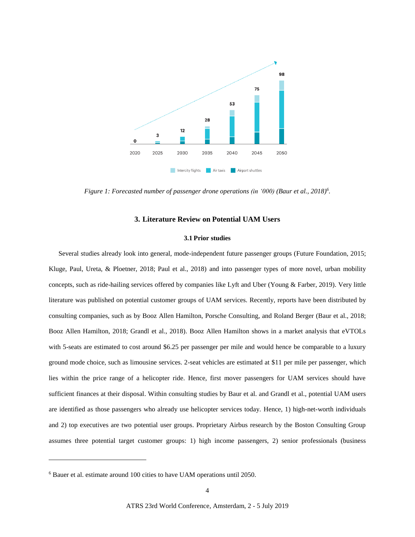

<span id="page-3-0"></span>*Figure 1: Forecasted number of passenger drone operations (in '000) (Baur et al., 2018)<sup>6</sup> .*

#### **3. Literature Review on Potential UAM Users**

#### **3.1 Prior studies**

Several studies already look into general, mode-independent future passenger groups (Future Foundation, 2015; Kluge, Paul, Ureta, & Ploetner, 2018; Paul et al., 2018) and into passenger types of more novel, urban mobility concepts, such as ride-hailing services offered by companies like Lyft and Uber (Young & Farber, 2019). Very little literature was published on potential customer groups of UAM services. Recently, reports have been distributed by consulting companies, such as by Booz Allen Hamilton, Porsche Consulting, and Roland Berger (Baur et al., 2018; Booz Allen Hamilton, 2018; Grandl et al., 2018). Booz Allen Hamilton shows in a market analysis that eVTOLs with 5-seats are estimated to cost around \$6.25 per passenger per mile and would hence be comparable to a luxury ground mode choice, such as limousine services. 2-seat vehicles are estimated at \$11 per mile per passenger, which lies within the price range of a helicopter ride. Hence, first mover passengers for UAM services should have sufficient finances at their disposal. Within consulting studies by Baur et al. and Grandl et al., potential UAM users are identified as those passengers who already use helicopter services today. Hence, 1) high-net-worth individuals and 2) top executives are two potential user groups. Proprietary Airbus research by the Boston Consulting Group assumes three potential target customer groups: 1) high income passengers, 2) senior professionals (business

 $\overline{a}$ 

<sup>6</sup> Bauer et al. estimate around 100 cities to have UAM operations until 2050.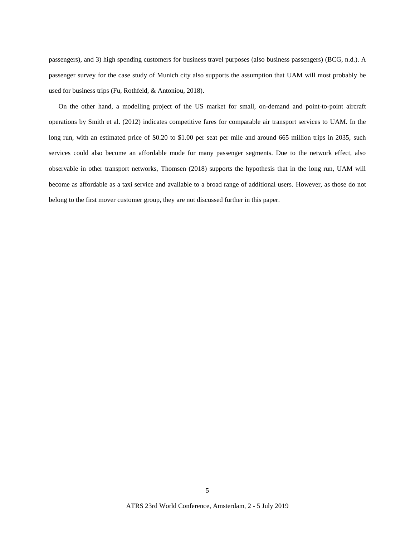passengers), and 3) high spending customers for business travel purposes (also business passengers) (BCG, n.d.). A passenger survey for the case study of Munich city also supports the assumption that UAM will most probably be used for business trips (Fu, Rothfeld, & Antoniou, 2018).

On the other hand, a modelling project of the US market for small, on-demand and point-to-point aircraft operations by Smith et al. (2012) indicates competitive fares for comparable air transport services to UAM. In the long run, with an estimated price of \$0.20 to \$1.00 per seat per mile and around 665 million trips in 2035, such services could also become an affordable mode for many passenger segments. Due to the network effect, also observable in other transport networks, Thomsen (2018) supports the hypothesis that in the long run, UAM will become as affordable as a taxi service and available to a broad range of additional users. However, as those do not belong to the first mover customer group, they are not discussed further in this paper.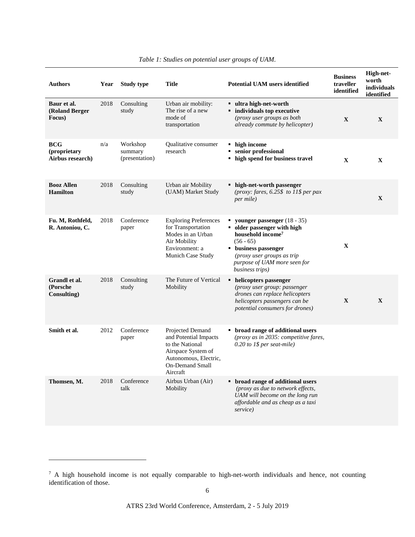| <b>Authors</b>                                 | Year | <b>Study type</b>                     | Title                                                                                                                                             | <b>Potential UAM users identified</b>                                                                                                                                                                                        | <b>Business</b><br>traveller<br>identified | High-net-<br>worth<br>individuals<br>identified |
|------------------------------------------------|------|---------------------------------------|---------------------------------------------------------------------------------------------------------------------------------------------------|------------------------------------------------------------------------------------------------------------------------------------------------------------------------------------------------------------------------------|--------------------------------------------|-------------------------------------------------|
| Baur et al.<br>(Roland Berger<br>Focus)        | 2018 | Consulting<br>study                   | Urban air mobility:<br>The rise of a new<br>mode of<br>transportation                                                                             | ultra high-net-worth<br><b>n</b> individuals top executive<br>(proxy user groups as both<br>already commute by helicopter)                                                                                                   | X                                          | $\mathbf{X}$                                    |
| <b>BCG</b><br>(proprietary<br>Airbus research) | n/a  | Workshop<br>summary<br>(presentation) | Qualitative consumer<br>research                                                                                                                  | • high income<br>• senior professional<br>• high spend for business travel                                                                                                                                                   | X                                          | $\mathbf X$                                     |
| <b>Booz Allen</b><br><b>Hamilton</b>           | 2018 | Consulting<br>study                   | Urban air Mobility<br>(UAM) Market Study                                                                                                          | • high-net-worth passenger<br>(proxy: fares, $6.25\$ to 11\$ per pax<br><i>per mile</i> )                                                                                                                                    |                                            | $\mathbf{X}$                                    |
| Fu. M, Rothfeld,<br>R. Antoniou, C.            | 2018 | Conference<br>paper                   | <b>Exploring Preferences</b><br>for Transportation<br>Modes in an Urban<br>Air Mobility<br>Environment: a<br>Munich Case Study                    | vounger passenger $(18 - 35)$<br>• older passenger with high<br>household income <sup>7</sup><br>$(56 - 65)$<br><b>u</b> business passenger<br>(proxy user groups as trip<br>purpose of UAM more seen for<br>business trips) | X                                          |                                                 |
| Grandl et al.<br>(Porsche)<br>Consulting)      | 2018 | Consulting<br>study                   | The Future of Vertical<br>Mobility                                                                                                                | • helicopters passenger<br>(proxy user group: passenger<br>drones can replace helicopters<br>helicopters passengers can be<br>potential consumers for drones)                                                                | X                                          | X                                               |
| Smith et al.                                   | 2012 | Conference<br>paper                   | Projected Demand<br>and Potential Impacts<br>to the National<br>Airspace System of<br>Autonomous, Electric,<br><b>On-Demand Small</b><br>Aircraft | • broad range of additional users<br>(proxy as in 2035: competitive fares,<br>$0.20$ to 1\$ per seat-mile)                                                                                                                   |                                            |                                                 |
| Thomsen, M.                                    | 2018 | Conference<br>talk                    | Airbus Urban (Air)<br>Mobility                                                                                                                    | • broad range of additional users<br>(proxy as due to network effects,<br>UAM will become on the long run<br>affordable and as cheap as a taxi<br>service)                                                                   |                                            |                                                 |

### *Table 1: Studies on potential user groups of UAM.*

 $\overline{a}$ 

 $7$  A high household income is not equally comparable to high-net-worth individuals and hence, not counting identification of those.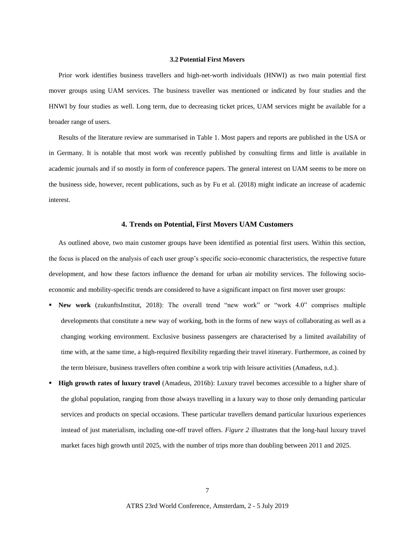#### **3.2 Potential First Movers**

Prior work identifies business travellers and high-net-worth individuals (HNWI) as two main potential first mover groups using UAM services. The business traveller was mentioned or indicated by four studies and the HNWI by four studies as well. Long term, due to decreasing ticket prices, UAM services might be available for a broader range of users.

Results of the literature review are summarised in Table 1. Most papers and reports are published in the USA or in Germany. It is notable that most work was recently published by consulting firms and little is available in academic journals and if so mostly in form of conference papers. The general interest on UAM seems to be more on the business side, however, recent publications, such as by Fu et al. (2018) might indicate an increase of academic interest.

#### **4. Trends on Potential, First Movers UAM Customers**

As outlined above, two main customer groups have been identified as potential first users. Within this section, the focus is placed on the analysis of each user group's specific socio-economic characteristics, the respective future development, and how these factors influence the demand for urban air mobility services. The following socioeconomic and mobility-specific trends are considered to have a significant impact on first mover user groups:

- **New work** (zukunftsInstitut, 2018): The overall trend "new work" or "work 4.0" comprises multiple developments that constitute a new way of working, both in the forms of new ways of collaborating as well as a changing working environment. Exclusive business passengers are characterised by a limited availability of time with, at the same time, a high-required flexibility regarding their travel itinerary. Furthermore, as coined by the term bleisure, business travellers often combine a work trip with leisure activities (Amadeus, n.d.).
- **High growth rates of luxury travel** (Amadeus, 2016b): Luxury travel becomes accessible to a higher share of the global population, ranging from those always travelling in a luxury way to those only demanding particular services and products on special occasions. These particular travellers demand particular luxurious experiences instead of just materialism, including one-off travel offers. *[Figure 2](#page-7-0)* illustrates that the long-haul luxury travel market faces high growth until 2025, with the number of trips more than doubling between 2011 and 2025.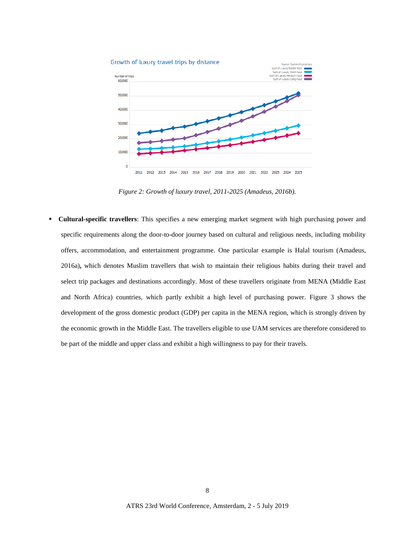

*Figure 2: Growth of luxury travel, 2011-2025 (Amadeus, 2016b).*

<span id="page-7-0"></span> **Cultural-specific travellers**: This specifies a new emerging market segment with high purchasing power and specific requirements along the door-to-door journey based on cultural and religious needs, including mobility offers, accommodation, and entertainment programme. One particular example is Halal tourism (Amadeus, 2016a)**,** which denotes Muslim travellers that wish to maintain their religious habits during their travel and select trip packages and destinations accordingly. Most of these travellers originate from MENA (Middle East and North Africa) countries, which partly exhibit a high level of purchasing power. [Figure 3](#page-8-0) shows the development of the gross domestic product (GDP) per capita in the MENA region, which is strongly driven by the economic growth in the Middle East. The travellers eligible to use UAM services are therefore considered to be part of the middle and upper class and exhibit a high willingness to pay for their travels.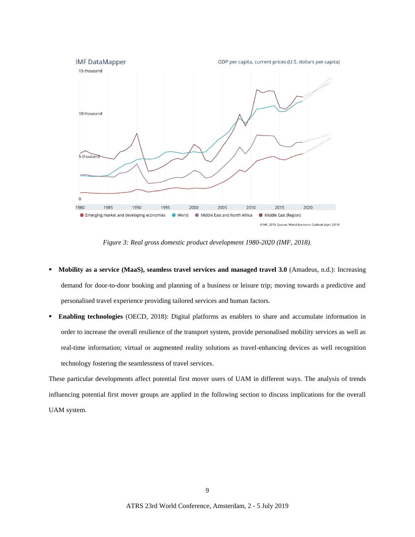

*Figure 3: Real gross domestic product development 1980-2020 (IMF, 2018).*

- <span id="page-8-0"></span> **Mobility as a service (MaaS), seamless travel services and managed travel 3.0** (Amadeus, n.d.): Increasing demand for door-to-door booking and planning of a business or leisure trip; moving towards a predictive and personalised travel experience providing tailored services and human factors.
- **Enabling technologies** (OECD, 2018): Digital platforms as enablers to share and accumulate information in order to increase the overall resilience of the transport system, provide personalised mobility services as well as real-time information; virtual or augmented reality solutions as travel-enhancing devices as well recognition technology fostering the seamlessness of travel services.

These particular developments affect potential first mover users of UAM in different ways. The analysis of trends influencing potential first mover groups are applied in the following section to discuss implications for the overall UAM system.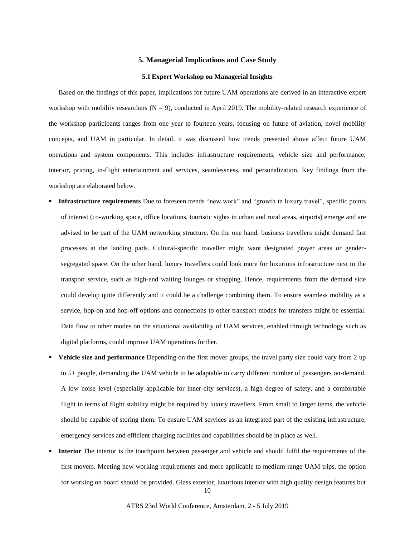#### **5. Managerial Implications and Case Study**

#### **5.1 Expert Workshop on Managerial Insights**

Based on the findings of this paper, implications for future UAM operations are derived in an interactive expert workshop with mobility researchers  $(N = 9)$ , conducted in April 2019. The mobility-related research experience of the workshop participants ranges from one year to fourteen years, focusing on future of aviation, novel mobility concepts, and UAM in particular. In detail, it was discussed how trends presented above affect future UAM operations and system components. This includes infrastructure requirements, vehicle size and performance, interior, pricing, in-flight entertainment and services, seamlessness, and personalization. Key findings from the workshop are elaborated below.

- **Infrastructure requirements** Due to foreseen trends "new work" and "growth in luxury travel", specific points of interest (co-working space, office locations, touristic sights in urban and rural areas, airports) emerge and are advised to be part of the UAM networking structure. On the one hand, business travellers might demand fast processes at the landing pads. Cultural-specific traveller might want designated prayer areas or gendersegregated space. On the other hand, luxury travellers could look more for luxurious infrastructure next to the transport service, such as high-end waiting lounges or shopping. Hence, requirements from the demand side could develop quite differently and it could be a challenge combining them. To ensure seamless mobility as a service, hop-on and hop-off options and connections to other transport modes for transfers might be essential. Data flow to other modes on the situational availability of UAM services, enabled through technology such as digital platforms, could improve UAM operations further.
- **Vehicle size and performance** Depending on the first mover groups, the travel party size could vary from 2 up to 5+ people, demanding the UAM vehicle to be adaptable to carry different number of passengers on-demand. A low noise level (especially applicable for inner-city services), a high degree of safety, and a comfortable flight in terms of flight stability might be required by luxury travellers. From small to larger items, the vehicle should be capable of storing them. To ensure UAM services as an integrated part of the existing infrastructure, emergency services and efficient charging facilities and capabilities should be in place as well.
- **Interior** The interior is the touchpoint between passenger and vehicle and should fulfil the requirements of the first movers. Meeting new working requirements and more applicable to medium-range UAM trips, the option for working on board should be provided. Glass exterior, luxurious interior with high quality design features but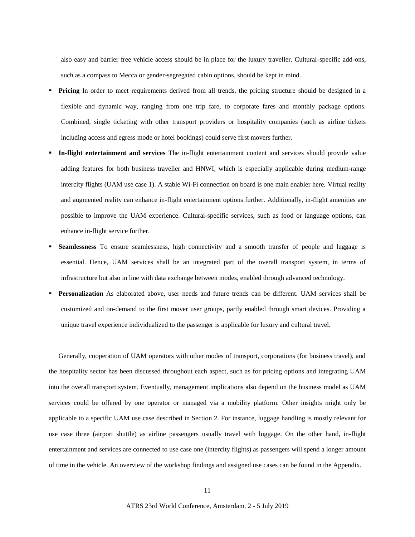also easy and barrier free vehicle access should be in place for the luxury traveller. Cultural-specific add-ons, such as a compass to Mecca or gender-segregated cabin options, should be kept in mind.

- **Pricing** In order to meet requirements derived from all trends, the pricing structure should be designed in a flexible and dynamic way, ranging from one trip fare, to corporate fares and monthly package options. Combined, single ticketing with other transport providers or hospitality companies (such as airline tickets including access and egress mode or hotel bookings) could serve first movers further.
- **In-flight entertainment and services** The in-flight entertainment content and services should provide value adding features for both business traveller and HNWI, which is especially applicable during medium-range intercity flights (UAM use case 1). A stable Wi-Fi connection on board is one main enabler here. Virtual reality and augmented reality can enhance in-flight entertainment options further. Additionally, in-flight amenities are possible to improve the UAM experience. Cultural-specific services, such as food or language options, can enhance in-flight service further.
- **Seamlessness** To ensure seamlessness, high connectivity and a smooth transfer of people and luggage is essential. Hence, UAM services shall be an integrated part of the overall transport system, in terms of infrastructure but also in line with data exchange between modes, enabled through advanced technology.
- **Personalization** As elaborated above, user needs and future trends can be different. UAM services shall be customized and on-demand to the first mover user groups, partly enabled through smart devices. Providing a unique travel experience individualized to the passenger is applicable for luxury and cultural travel.

Generally, cooperation of UAM operators with other modes of transport, corporations (for business travel), and the hospitality sector has been discussed throughout each aspect, such as for pricing options and integrating UAM into the overall transport system. Eventually, management implications also depend on the business model as UAM services could be offered by one operator or managed via a mobility platform. Other insights might only be applicable to a specific UAM use case described in Section 2. For instance, luggage handling is mostly relevant for use case three (airport shuttle) as airline passengers usually travel with luggage. On the other hand, in-flight entertainment and services are connected to use case one (intercity flights) as passengers will spend a longer amount of time in the vehicle. An overview of the workshop findings and assigned use cases can be found in the Appendix.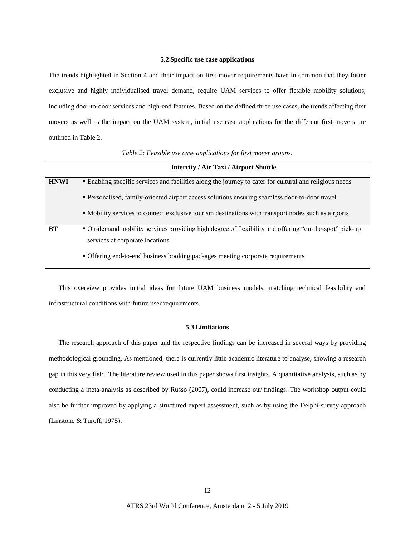#### **5.2 Specific use case applications**

The trends highlighted in Section 4 and their impact on first mover requirements have in common that they foster exclusive and highly individualised travel demand, require UAM services to offer flexible mobility solutions, including door-to-door services and high-end features. Based on the defined three use cases, the trends affecting first movers as well as the impact on the UAM system, initial use case applications for the different first movers are outlined i[n Table 2.](#page-11-0)

<span id="page-11-0"></span>

|             | <b>Intercity / Air Taxi / Airport Shuttle</b>                                                           |  |  |  |  |  |
|-------------|---------------------------------------------------------------------------------------------------------|--|--|--|--|--|
| <b>HNWI</b> | • Enabling specific services and facilities along the journey to cater for cultural and religious needs |  |  |  |  |  |
|             | • Personalised, family-oriented airport access solutions ensuring seamless door-to-door travel          |  |  |  |  |  |
|             | • Mobility services to connect exclusive tourism destinations with transport nodes such as airports     |  |  |  |  |  |
| <b>BT</b>   | • On-demand mobility services providing high degree of flexibility and offering "on-the-spot" pick-up   |  |  |  |  |  |
|             | services at corporate locations                                                                         |  |  |  |  |  |
|             | • Offering end-to-end business booking packages meeting corporate requirements                          |  |  |  |  |  |

*Table 2: Feasible use case applications for first mover groups.*

This overview provides initial ideas for future UAM business models, matching technical feasibility and infrastructural conditions with future user requirements.

#### **5.3 Limitations**

The research approach of this paper and the respective findings can be increased in several ways by providing methodological grounding. As mentioned, there is currently little academic literature to analyse, showing a research gap in this very field. The literature review used in this paper shows first insights. A quantitative analysis, such as by conducting a meta-analysis as described by Russo (2007), could increase our findings. The workshop output could also be further improved by applying a structured expert assessment, such as by using the Delphi-survey approach (Linstone & Turoff, 1975).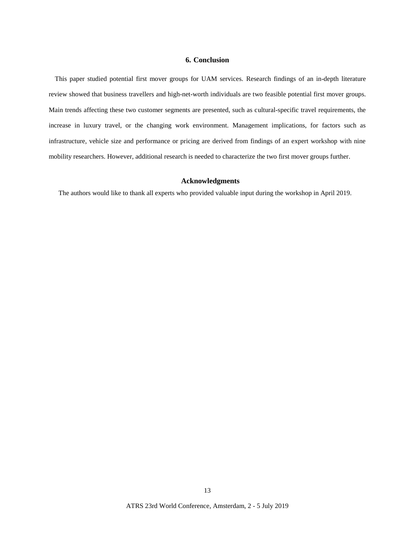## **6. Conclusion**

This paper studied potential first mover groups for UAM services. Research findings of an in-depth literature review showed that business travellers and high-net-worth individuals are two feasible potential first mover groups. Main trends affecting these two customer segments are presented, such as cultural-specific travel requirements, the increase in luxury travel, or the changing work environment. Management implications, for factors such as infrastructure, vehicle size and performance or pricing are derived from findings of an expert workshop with nine mobility researchers. However, additional research is needed to characterize the two first mover groups further.

#### **Acknowledgments**

The authors would like to thank all experts who provided valuable input during the workshop in April 2019.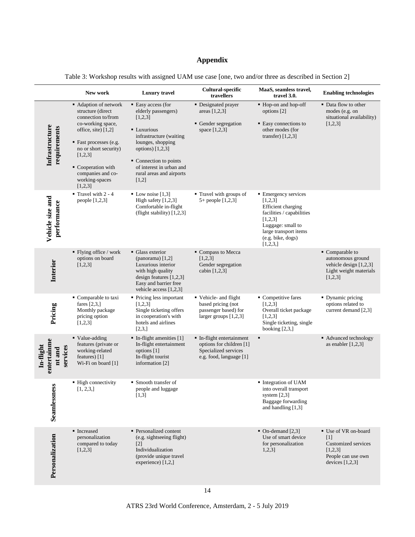## **Appendix**

|                                                | New work                                                                                                                                                                                                                                           | <b>Luxury</b> travel                                                                                                                                                                                                                 | Cultural-specific<br>travellers                                                                          | MaaS, seamless travel,<br>travel 3.0.                                                                                                                                                | <b>Enabling technologies</b>                                                                                           |
|------------------------------------------------|----------------------------------------------------------------------------------------------------------------------------------------------------------------------------------------------------------------------------------------------------|--------------------------------------------------------------------------------------------------------------------------------------------------------------------------------------------------------------------------------------|----------------------------------------------------------------------------------------------------------|--------------------------------------------------------------------------------------------------------------------------------------------------------------------------------------|------------------------------------------------------------------------------------------------------------------------|
| Infrastructure<br>requirements                 | • Adaption of network<br>structure (direct<br>connection to/from<br>co-working space,<br>office, site) [1,2]<br>■ Fast processes (e.g.<br>no or short security)<br>[1,2,3]<br>• Cooperation with<br>companies and co-<br>working-spaces<br>[1,2,3] | • Easy access (for<br>elderly passengers)<br>[1,2,3]<br>• Luxurious<br>infrastructure (waiting<br>lounges, shopping<br>options) $[1,2,3]$<br>• Connection to points<br>of interest in urban and<br>rural areas and airports<br>[1,2] | • Designated prayer<br>areas $[1,2,3]$<br>• Gender segregation<br>space $[1,2,3]$                        | • Hop-on and hop-off<br>options [2]<br>• Easy connections to<br>other modes (for<br>transfer) $[1,2,3]$                                                                              | • Data flow to other<br>modes (e.g. on<br>situational availability)<br>[1,2,3]                                         |
| Vehicle size and<br>performance                | $\blacksquare$ Travel with 2 - 4<br>people [1,2,3]                                                                                                                                                                                                 | $\blacksquare$ Low noise [1,3]<br>High safety [1,2,3]<br>Comfortable in-flight<br>(flight stability) [1,2,3]                                                                                                                         | • Travel with groups of<br>5+ people [1,2,3]                                                             | • Emergency services<br>[1,2,3]<br><b>Efficient</b> charging<br>facilities / capabilities<br>[1,2,3]<br>Luggage: small to<br>large transport items<br>(e.g.~bike,~ dogs)<br>[1,2,3,] |                                                                                                                        |
| Interior                                       | $\blacksquare$ Flying office / work<br>options on board<br>[1,2,3]                                                                                                                                                                                 | • Glass exterior<br>(panorama) $[1,2]$<br>Luxurious interior<br>with high quality<br>design features $[1,2,3]$<br>Easy and barrier free<br>vehicle access $[1,2,3]$                                                                  | Compass to Mecca<br>[1,2,3]<br>Gender segregation<br>cabin $[1,2,3]$                                     |                                                                                                                                                                                      | $\blacksquare$ Comparable to<br>autonomous ground<br>vehicle design $[1,2,3]$<br>Light weight materials<br>[1,2,3]     |
| Pricing                                        | Comparable to taxi<br>fares $[2,3,$<br>Monthly package<br>pricing option<br>[1,2,3]                                                                                                                                                                | • Pricing less important<br>[1,2,3]<br>Single ticketing offers<br>in cooperation's with<br>hotels and airlines<br>[2,3,]                                                                                                             | • Vehicle- and flight<br>based pricing (not<br>passenger based) for<br>larger groups [1,2,3]             | • Competitive fares<br>[1,2,3]<br>Overall ticket package<br>[1,2,3]<br>Single ticketing, single<br>booking $[2,3,]$                                                                  | • Dynamic pricing<br>options related to<br>current demand [2,3]                                                        |
| entertainme<br>In-flight<br>services<br>nt and | • Value-adding<br>features (private or<br>working-related<br>features) $[1]$<br>Wi-Fi on board [1]                                                                                                                                                 | · In-flight amenities [1]<br>In-flight entertainment<br>options [1]<br>In-flight tourist<br>information [2]                                                                                                                          | • In-flight entertainment<br>options for children [1]<br>Specialized services<br>e.g. food, language [1] | ٠                                                                                                                                                                                    | • Advanced technology<br>as enabler $[1,2,3]$                                                                          |
| S<br>Seamlessnes                               | • High connectivity<br>[1, 2, 3, ]                                                                                                                                                                                                                 | • Smooth transfer of<br>people and luggage<br>[1,3]                                                                                                                                                                                  |                                                                                                          | Integration of UAM<br>into overall transport<br>system $[2,3]$<br>Baggage forwarding<br>and handling [1,3]                                                                           |                                                                                                                        |
| Personalization                                | • Increased<br>personalization<br>compared to today<br>[1,2,3]                                                                                                                                                                                     | • Personalized content<br>(e.g. sightseeing flight)<br>$[2]$<br>Individualization<br>(provide unique travel<br>experience) [1,2,]                                                                                                    |                                                                                                          | • On-demand $[2,3]$<br>Use of smart device<br>for personalization<br>$1,2,3$ ]                                                                                                       | ■ Use of VR on-board<br>$\lceil 1 \rceil$<br>Customized services<br>[1,2,3]<br>People can use own<br>devices $[1,2,3]$ |

Table 3: Workshop results with assigned UAM use case [one, two and/or three as described in Section 2]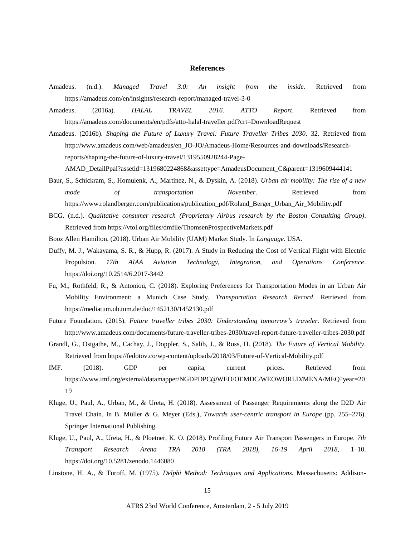#### **References**

- Amadeus. (n.d.). *Managed Travel 3.0: An insight from the inside*. Retrieved from https://amadeus.com/en/insights/research-report/managed-travel-3-0
- Amadeus. (2016a). *HALAL TRAVEL 2016. ATTO Report*. Retrieved from https://amadeus.com/documents/en/pdfs/atto-halal-traveller.pdf?crt=DownloadRequest
- Amadeus. (2016b). *Shaping the Future of Luxury Travel: Future Traveller Tribes 2030*. 32. Retrieved from http://www.amadeus.com/web/amadeus/en\_JO-JO/Amadeus-Home/Resources-and-downloads/Researchreports/shaping-the-future-of-luxury-travel/1319550928244-Page-

AMAD\_DetailPpal?assetid=1319680224868&assettype=AmadeusDocument\_C&parent=1319609444141

- Baur, S., Schickram, S., Homulenk, A., Martinez, N., & Dyskin, A. (2018). *Urban air mobility: The rise of a new mode of transportation November*. Retrieved from https://www.rolandberger.com/publications/publication\_pdf/Roland\_Berger\_Urban\_Air\_Mobility.pdf
- BCG. (n.d.). *Qualitative consumer research (Proprietary Airbus research by the Boston Consulting Group)*. Retrieved from https://vtol.org/files/dmfile/ThomsenProspectiveMarkets.pdf
- Booz Allen Hamilton. (2018). Urban Air Mobility (UAM) Market Study. In *Language*. USA.
- Duffy, M. J., Wakayama, S. R., & Hupp, R. (2017). A Study in Reducing the Cost of Vertical Flight with Electric Propulsion. *17th AIAA Aviation Technology, Integration, and Operations Conference*. https://doi.org/10.2514/6.2017-3442
- Fu, M., Rothfeld, R., & Antoniou, C. (2018). Exploring Preferences for Transportation Modes in an Urban Air Mobility Environment: a Munich Case Study. *Transportation Research Record*. Retrieved from https://mediatum.ub.tum.de/doc/1452130/1452130.pdf
- Future Foundation. (2015). *Future traveller tribes 2030: Understanding tomorrow's traveler*. Retrieved from http://www.amadeus.com/documents/future-traveller-tribes-2030/travel-report-future-traveller-tribes-2030.pdf
- Grandl, G., Ostgathe, M., Cachay, J., Doppler, S., Salib, J., & Ross, H. (2018). *The Future of Vertical Mobility*. Retrieved from https://fedotov.co/wp-content/uploads/2018/03/Future-of-Vertical-Mobility.pdf
- IMF. (2018). GDP per capita, current prices. Retrieved from https://www.imf.org/external/datamapper/NGDPDPC@WEO/OEMDC/WEOWORLD/MENA/MEQ?year=20 19
- Kluge, U., Paul, A., Urban, M., & Ureta, H. (2018). Assessment of Passenger Requirements along the D2D Air Travel Chain. In B. Müller & G. Meyer (Eds.), *Towards user-centric transport in Europe* (pp. 255–276). Springer International Publishing.
- Kluge, U., Paul, A., Ureta, H., & Ploetner, K. O. (2018). Profiling Future Air Transport Passengers in Europe. *7th Transport Research Arena TRA 2018 (TRA 2018), 16-19 April 2018*, 1–10. https://doi.org/10.5281/zenodo.1446080
- Linstone, H. A., & Turoff, M. (1975). *Delphi Method: Techniques and Applications*. Massachusetts: Addison-